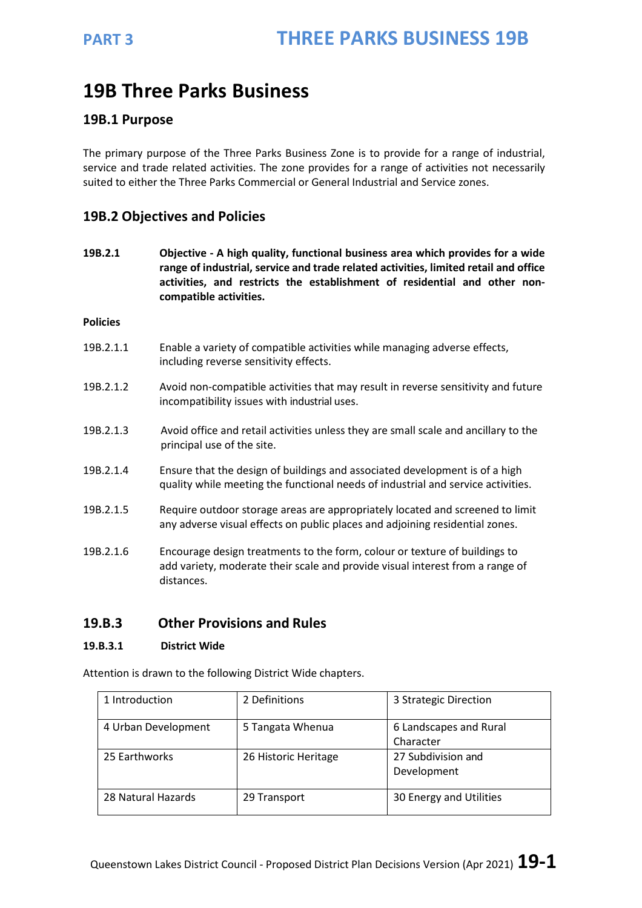# **19B Three Parks Business**

### **19B.1 Purpose**

The primary purpose of the Three Parks Business Zone is to provide for a range of industrial, service and trade related activities. The zone provides for a range of activities not necessarily suited to either the Three Parks Commercial or General Industrial and Service zones.

## **19B.2 Objectives and Policies**

**19B.2.1 Objective - A high quality, functional business area which provides for a wide range of industrial, service and trade related activities, limited retail and office activities, and restricts the establishment of residential and other noncompatible activities.**

**Policies**

- 19B.2.1.1 Enable a variety of compatible activities while managing adverse effects, including reverse sensitivity effects.
- 19B.2.1.2 Avoid non-compatible activities that may result in reverse sensitivity and future incompatibility issues with industrial uses.
- 19B.2.1.3 Avoid office and retail activities unless they are small scale and ancillary to the principal use of the site.
- 19B.2.1.4 Ensure that the design of buildings and associated development is of a high quality while meeting the functional needs of industrial and service activities.
- 19B.2.1.5 Require outdoor storage areas are appropriately located and screened to limit any adverse visual effects on public places and adjoining residential zones.
- 19B.2.1.6 Encourage design treatments to the form, colour or texture of buildings to add variety, moderate their scale and provide visual interest from a range of distances.

## **19.B.3 Other Provisions and Rules**

### **19.B.3.1 District Wide**

Attention is drawn to the following District Wide chapters.

| 1 Introduction      | 2 Definitions        | 3 Strategic Direction               |
|---------------------|----------------------|-------------------------------------|
| 4 Urban Development | 5 Tangata Whenua     | 6 Landscapes and Rural<br>Character |
| 25 Earthworks       | 26 Historic Heritage | 27 Subdivision and<br>Development   |
| 28 Natural Hazards  | 29 Transport         | 30 Energy and Utilities             |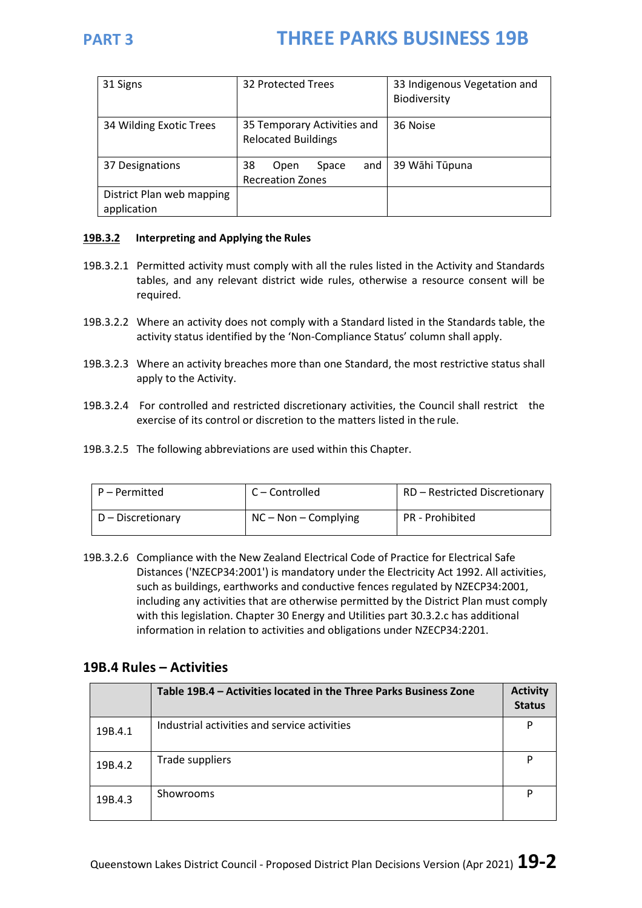| 31 Signs                                 | 32 Protected Trees                                        | 33 Indigenous Vegetation and<br>Biodiversity |  |
|------------------------------------------|-----------------------------------------------------------|----------------------------------------------|--|
| 34 Wilding Exotic Trees                  | 35 Temporary Activities and<br><b>Relocated Buildings</b> | 36 Noise                                     |  |
| 37 Designations                          | and<br>38<br>Space<br>Open<br><b>Recreation Zones</b>     | 39 Wāhi Tūpuna                               |  |
| District Plan web mapping<br>application |                                                           |                                              |  |

### **19B.3.2 Interpreting and Applying the Rules**

- 19B.3.2.1 Permitted activity must comply with all the rules listed in the Activity and Standards tables, and any relevant district wide rules, otherwise a resource consent will be required.
- 19B.3.2.2 Where an activity does not comply with a Standard listed in the Standards table, the activity status identified by the 'Non-Compliance Status' column shall apply.
- 19B.3.2.3 Where an activity breaches more than one Standard, the most restrictive status shall apply to the Activity.
- 19B.3.2.4 For controlled and restricted discretionary activities, the Council shall restrict the exercise of its control or discretion to the matters listed in the rule.
- 19B.3.2.5 The following abbreviations are used within this Chapter.

| P – Permitted     | l C – Controlled       | RD - Restricted Discretionary |  |  |
|-------------------|------------------------|-------------------------------|--|--|
| D – Discretionary | $NC - Non - Complying$ | PR - Prohibited               |  |  |

19B.3.2.6 Compliance with the New Zealand Electrical Code of Practice for Electrical Safe Distances ('NZECP34:2001') is mandatory under the Electricity Act 1992. All activities, such as buildings, earthworks and conductive fences regulated by NZECP34:2001, including any activities that are otherwise permitted by the District Plan must comply with this legislation. Chapter 30 Energy and Utilities part 30.3.2.c has additional information in relation to activities and obligations under NZECP34:2201.

### **19B.4 Rules – Activities**

|         | Table 19B.4 - Activities located in the Three Parks Business Zone | <b>Activity</b><br><b>Status</b> |
|---------|-------------------------------------------------------------------|----------------------------------|
| 19B.4.1 | Industrial activities and service activities                      | P                                |
| 19B.4.2 | Trade suppliers                                                   | P                                |
| 19B.4.3 | <b>Showrooms</b>                                                  | P                                |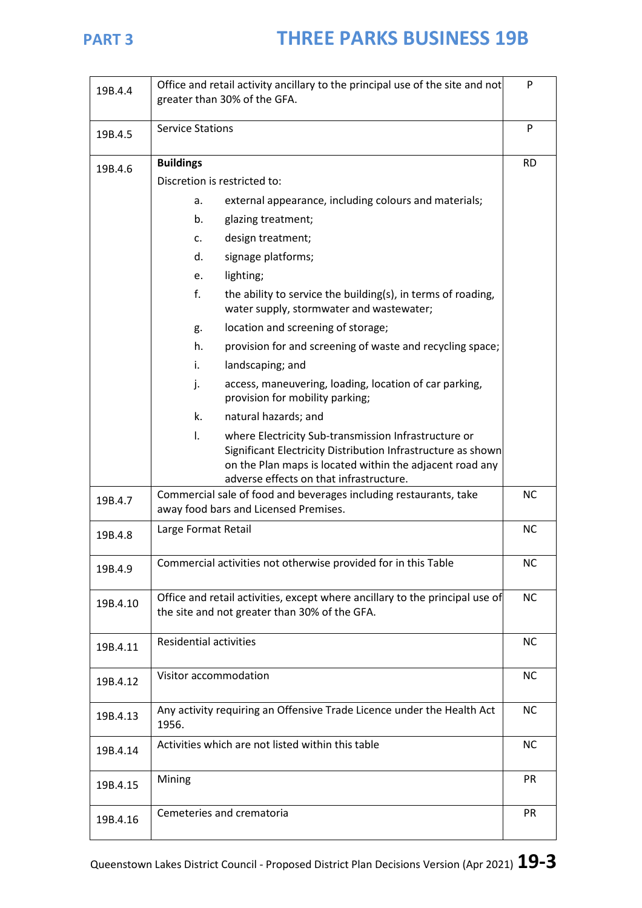| 19B.4.4  | Office and retail activity ancillary to the principal use of the site and not<br>greater than 30% of the GFA.                                                                                    |           |
|----------|--------------------------------------------------------------------------------------------------------------------------------------------------------------------------------------------------|-----------|
| 19B.4.5  | <b>Service Stations</b>                                                                                                                                                                          |           |
| 19B.4.6  | <b>Buildings</b>                                                                                                                                                                                 | <b>RD</b> |
|          | Discretion is restricted to:                                                                                                                                                                     |           |
|          | external appearance, including colours and materials;<br>a.                                                                                                                                      |           |
|          | b.<br>glazing treatment;                                                                                                                                                                         |           |
|          | design treatment;<br>c.                                                                                                                                                                          |           |
|          | d.<br>signage platforms;                                                                                                                                                                         |           |
|          | lighting;<br>e.                                                                                                                                                                                  |           |
|          | $f_{\cdot}$<br>the ability to service the building(s), in terms of roading,<br>water supply, stormwater and wastewater;                                                                          |           |
|          | location and screening of storage;<br>g.                                                                                                                                                         |           |
|          | h.<br>provision for and screening of waste and recycling space;                                                                                                                                  |           |
|          | i.<br>landscaping; and                                                                                                                                                                           |           |
|          | access, maneuvering, loading, location of car parking,<br>j.<br>provision for mobility parking;                                                                                                  |           |
|          | k.<br>natural hazards; and                                                                                                                                                                       |           |
|          | $\mathsf{L}$<br>where Electricity Sub-transmission Infrastructure or<br>Significant Electricity Distribution Infrastructure as shown<br>on the Plan maps is located within the adjacent road any |           |
|          | adverse effects on that infrastructure.<br>Commercial sale of food and beverages including restaurants, take                                                                                     | <b>NC</b> |
| 19B.4.7  | away food bars and Licensed Premises.                                                                                                                                                            |           |
| 19B.4.8  | Large Format Retail                                                                                                                                                                              | <b>NC</b> |
| 19B.4.9  | Commercial activities not otherwise provided for in this Table                                                                                                                                   | <b>NC</b> |
| 19B.4.10 | Office and retail activities, except where ancillary to the principal use of<br>the site and not greater than 30% of the GFA.                                                                    | <b>NC</b> |
| 19B.4.11 | <b>Residential activities</b>                                                                                                                                                                    | <b>NC</b> |
| 19B.4.12 | Visitor accommodation                                                                                                                                                                            | <b>NC</b> |
| 19B.4.13 | Any activity requiring an Offensive Trade Licence under the Health Act<br>1956.                                                                                                                  | <b>NC</b> |
| 19B.4.14 | Activities which are not listed within this table                                                                                                                                                | <b>NC</b> |
| 19B.4.15 | Mining                                                                                                                                                                                           | <b>PR</b> |
| 19B.4.16 | Cemeteries and crematoria                                                                                                                                                                        | <b>PR</b> |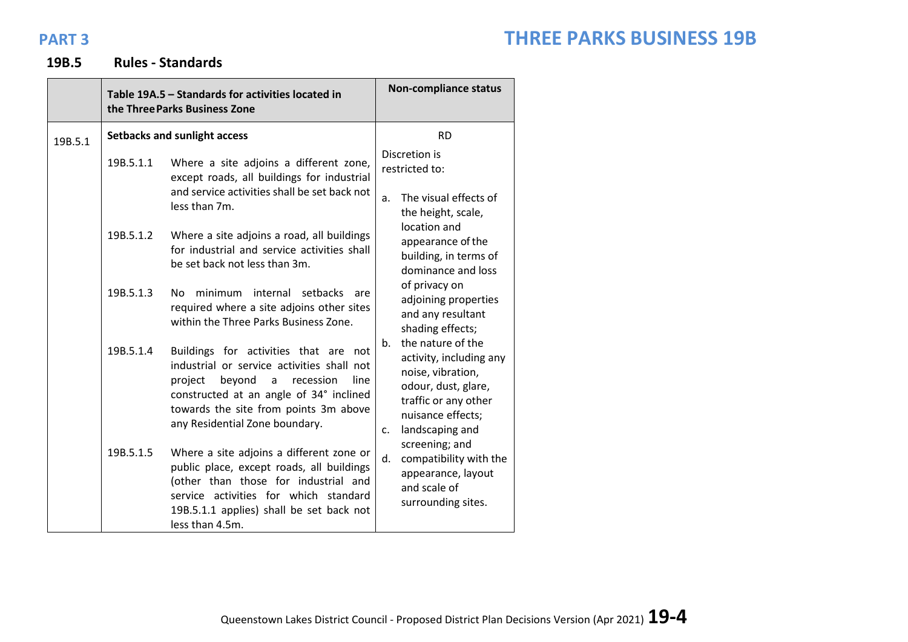## **19B.5 Rules - Standards**

|         |                                                                                                                                                                                                                                                                                                               | Table 19A.5 - Standards for activities located in<br>the Three Parks Business Zone                                                                                                                                                                                  | <b>Non-compliance status</b>                                                                                                                                                  |  |
|---------|---------------------------------------------------------------------------------------------------------------------------------------------------------------------------------------------------------------------------------------------------------------------------------------------------------------|---------------------------------------------------------------------------------------------------------------------------------------------------------------------------------------------------------------------------------------------------------------------|-------------------------------------------------------------------------------------------------------------------------------------------------------------------------------|--|
| 19B.5.1 | <b>Setbacks and sunlight access</b>                                                                                                                                                                                                                                                                           |                                                                                                                                                                                                                                                                     | <b>RD</b>                                                                                                                                                                     |  |
|         | 19B.5.1.1<br>Where a site adjoins a different zone,<br>except roads, all buildings for industrial<br>and service activities shall be set back not<br>less than 7m.<br>19B.5.1.2<br>Where a site adjoins a road, all buildings<br>for industrial and service activities shall<br>be set back not less than 3m. | Discretion is<br>restricted to:<br>The visual effects of<br>a <sub>r</sub><br>the height, scale,                                                                                                                                                                    |                                                                                                                                                                               |  |
|         |                                                                                                                                                                                                                                                                                                               | location and<br>appearance of the<br>building, in terms of<br>dominance and loss                                                                                                                                                                                    |                                                                                                                                                                               |  |
|         | 19B.5.1.3                                                                                                                                                                                                                                                                                                     | minimum internal<br>setbacks<br>No l<br>are<br>required where a site adjoins other sites<br>within the Three Parks Business Zone.                                                                                                                                   | of privacy on<br>adjoining properties<br>and any resultant<br>shading effects;                                                                                                |  |
|         | 19B.5.1.4                                                                                                                                                                                                                                                                                                     | Buildings for activities that are not<br>industrial or service activities shall not<br>project<br>beyond<br>recession<br>line<br>$\mathsf{a}$<br>constructed at an angle of 34° inclined<br>towards the site from points 3m above<br>any Residential Zone boundary. | the nature of the<br>$h_{\cdot}$<br>activity, including any<br>noise, vibration,<br>odour, dust, glare,<br>traffic or any other<br>nuisance effects;<br>landscaping and<br>c. |  |
|         | 19B.5.1.5                                                                                                                                                                                                                                                                                                     | Where a site adjoins a different zone or<br>public place, except roads, all buildings<br>(other than those for industrial and<br>service activities for which standard<br>19B.5.1.1 applies) shall be set back not<br>less than 4.5m.                               | screening; and<br>d.<br>compatibility with the<br>appearance, layout<br>and scale of<br>surrounding sites.                                                                    |  |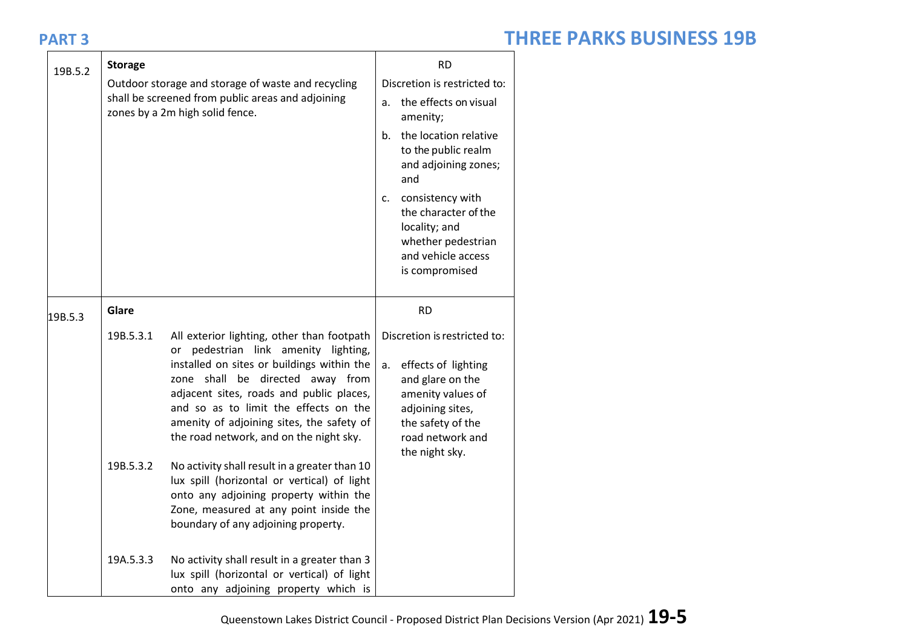| 19B.5.2 | <b>Storage</b>         | Outdoor storage and storage of waste and recycling<br>shall be screened from public areas and adjoining<br>zones by a 2m high solid fence.                                                                                                                                                                                                                                                                                                                                                                                                                                   | a.<br>$b_{-}$<br>$c_{\cdot}$ | <b>RD</b><br>Discretion is restricted to:<br>the effects on visual<br>amenity;<br>the location relative<br>to the public realm<br>and adjoining zones;<br>and<br>consistency with<br>the character of the<br>locality; and<br>whether pedestrian<br>and vehicle access<br>is compromised |  |
|---------|------------------------|------------------------------------------------------------------------------------------------------------------------------------------------------------------------------------------------------------------------------------------------------------------------------------------------------------------------------------------------------------------------------------------------------------------------------------------------------------------------------------------------------------------------------------------------------------------------------|------------------------------|------------------------------------------------------------------------------------------------------------------------------------------------------------------------------------------------------------------------------------------------------------------------------------------|--|
| 19B.5.3 | Glare                  |                                                                                                                                                                                                                                                                                                                                                                                                                                                                                                                                                                              |                              | <b>RD</b>                                                                                                                                                                                                                                                                                |  |
|         | 19B.5.3.1<br>19B.5.3.2 | All exterior lighting, other than footpath<br>or pedestrian link amenity lighting,<br>installed on sites or buildings within the<br>zone shall be directed away from<br>adjacent sites, roads and public places,<br>and so as to limit the effects on the<br>amenity of adjoining sites, the safety of<br>the road network, and on the night sky.<br>No activity shall result in a greater than 10<br>lux spill (horizontal or vertical) of light<br>onto any adjoining property within the<br>Zone, measured at any point inside the<br>boundary of any adjoining property. | а.                           | Discretion is restricted to:<br>effects of lighting<br>and glare on the<br>amenity values of<br>adjoining sites,<br>the safety of the<br>road network and<br>the night sky.                                                                                                              |  |
|         | 19A.5.3.3              | No activity shall result in a greater than 3<br>lux spill (horizontal or vertical) of light<br>onto any adjoining property which is                                                                                                                                                                                                                                                                                                                                                                                                                                          |                              |                                                                                                                                                                                                                                                                                          |  |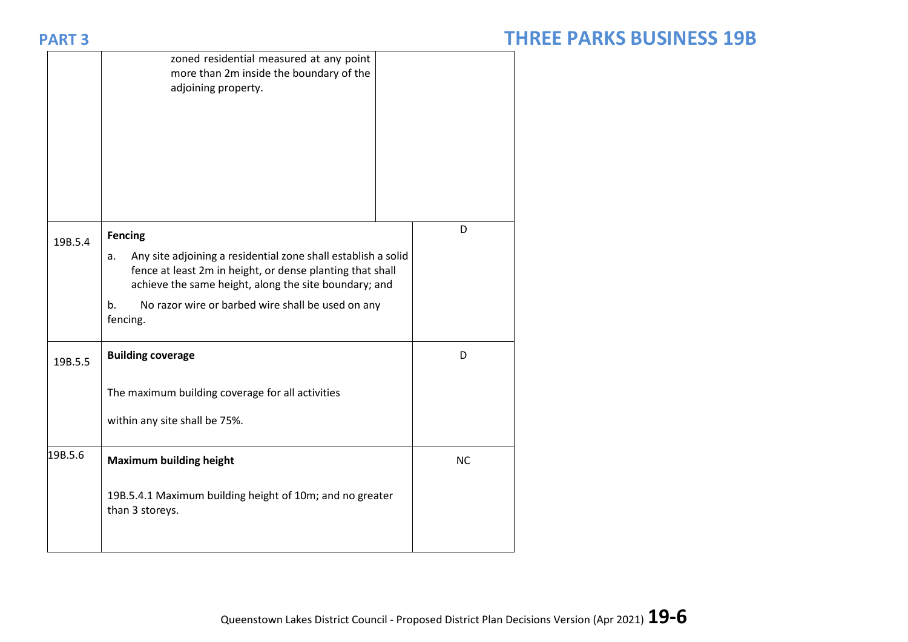|         | zoned residential measured at any point<br>more than 2m inside the boundary of the<br>adjoining property.                                                                                 |           |
|---------|-------------------------------------------------------------------------------------------------------------------------------------------------------------------------------------------|-----------|
| 19B.5.4 | <b>Fencing</b>                                                                                                                                                                            | D         |
|         | Any site adjoining a residential zone shall establish a solid<br>a.<br>fence at least 2m in height, or dense planting that shall<br>achieve the same height, along the site boundary; and |           |
|         | No razor wire or barbed wire shall be used on any<br>b.<br>fencing.                                                                                                                       |           |
| 19B.5.5 | <b>Building coverage</b>                                                                                                                                                                  | D         |
|         | The maximum building coverage for all activities                                                                                                                                          |           |
|         | within any site shall be 75%.                                                                                                                                                             |           |
| 19B.5.6 | <b>Maximum building height</b>                                                                                                                                                            | <b>NC</b> |
|         | 19B.5.4.1 Maximum building height of 10m; and no greater<br>than 3 storeys.                                                                                                               |           |
|         |                                                                                                                                                                                           |           |